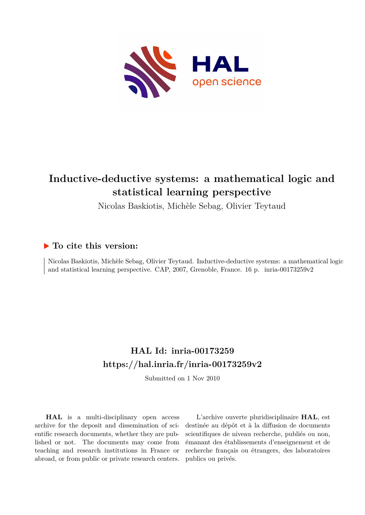

# **Inductive-deductive systems: a mathematical logic and statistical learning perspective**

Nicolas Baskiotis, Michèle Sebag, Olivier Teytaud

# **To cite this version:**

Nicolas Baskiotis, Michèle Sebag, Olivier Teytaud. Inductive-deductive systems: a mathematical logic and statistical learning perspective. CAP, 2007, Grenoble, France. 16 p. inria-00173259v2

# **HAL Id: inria-00173259 <https://hal.inria.fr/inria-00173259v2>**

Submitted on 1 Nov 2010

**HAL** is a multi-disciplinary open access archive for the deposit and dissemination of scientific research documents, whether they are published or not. The documents may come from teaching and research institutions in France or abroad, or from public or private research centers.

L'archive ouverte pluridisciplinaire **HAL**, est destinée au dépôt et à la diffusion de documents scientifiques de niveau recherche, publiés ou non, émanant des établissements d'enseignement et de recherche français ou étrangers, des laboratoires publics ou privés.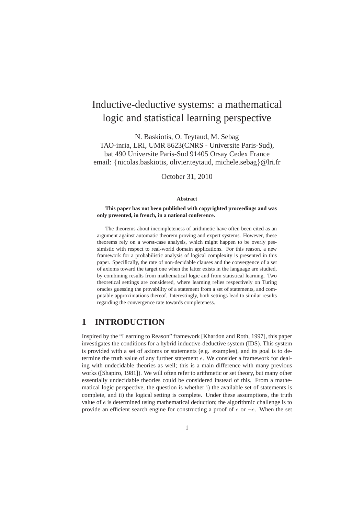# Inductive-deductive systems: a mathematical logic and statistical learning perspective

N. Baskiotis, O. Teytaud, M. Sebag TAO-inria, LRI, UMR 8623(CNRS - Universite Paris-Sud), bat 490 Universite Paris-Sud 91405 Orsay Cedex France email: {nicolas.baskiotis, olivier.teytaud, michele.sebag}@lri.fr

October 31, 2010

### **Abstract**

#### **This paper has not been published with copyrighted proceedings and was only presented, in french, in a national conference.**

The theorems about incompleteness of arithmetic have often been cited as an argument against automatic theorem proving and expert systems. However, these theorems rely on a worst-case analysis, which might happen to be overly pessimistic with respect to real-world domain applications. For this reason, a new framework for a probabilistic analysis of logical complexity is presented in this paper. Specifically, the rate of non-decidable clauses and the convergence of a set of axioms toward the target one when the latter exists in the language are studied, by combining results from mathematical logic and from statistical learning. Two theoretical settings are considered, where learning relies respectively on Turing oracles guessing the provability of a statement from a set of statements, and computable approximations thereof. Interestingly, both settings lead to similar results regarding the convergence rate towards completeness.

## **1 INTRODUCTION**

Inspired by the "Learning to Reason" framework [Khardon and Roth, 1997], this paper investigates the conditions for a hybrid inductive-deductive system (IDS). This system is provided with a set of axioms or statements (e.g. examples), and its goal is to determine the truth value of any further statement e. We consider a framework for dealing with undecidable theories as well; this is a main difference with many previous works ([Shapiro, 1981]). We will often refer to arithmetic or set theory, but many other essentially undecidable theories could be considered instead of this. From a mathematical logic perspective, the question is whether i) the available set of statements is complete, and ii) the logical setting is complete. Under these assumptions, the truth value of  $e$  is determined using mathematical deduction; the algorithmic challenge is to provide an efficient search engine for constructing a proof of  $e$  or  $\neg e$ . When the set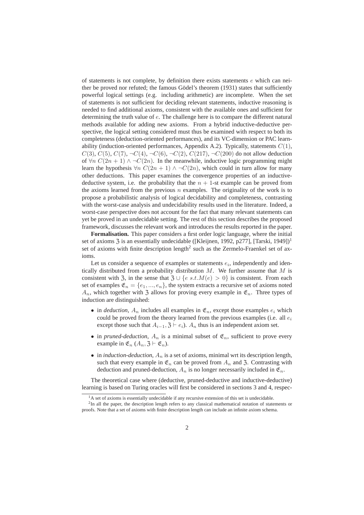of statements is not complete, by definition there exists statements  $e$  which can neither be proved nor refuted; the famous Gödel's theorem (1931) states that sufficiently powerful logical settings (e.g. including arithmetic) are incomplete. When the set of statements is not sufficient for deciding relevant statements, inductive reasoning is needed to find additional axioms, consistent with the available ones and sufficient for determining the truth value of e. The challenge here is to compare the different natural methods available for adding new axioms. From a hybrid inductive-deductive perspective, the logical setting considered must thus be examined with respect to both its completeness (deduction-oriented performances), and its VC-dimension or PAC learnability (induction-oriented performances, Appendix A.2). Typically, statements  $C(1)$ ,  $C(3)$ ,  $C(5)$ ,  $C(7)$ ,  $\neg C(4)$ ,  $\neg C(6)$ ,  $\neg C(2)$ ,  $C(217)$ ,  $\neg C(200)$  do not allow deduction of  $\forall n \ C(2n+1) \wedge \neg C(2n)$ . In the meanwhile, inductive logic programming might learn the hypothesis  $\forall n \ C(2n + 1) \land \neg C(2n)$ , which could in turn allow for many other deductions. This paper examines the convergence properties of an inductivedeductive system, i.e. the probability that the  $n + 1$ -st example can be proved from the axioms learned from the previous  $n$  examples. The originality of the work is to propose a probabilistic analysis of logical decidability and completeness, contrasting with the worst-case analysis and undecidability results used in the literature. Indeed, a worst-case perspective does not account for the fact that many relevant statements can yet be proved in an undecidable setting. The rest of this section describes the proposed framework, discusses the relevant work and introduces the results reported in the paper.

**Formalisation.** This paper considers a first order logic language, where the initial set of axioms  $\overline{3}$  is an essentially undecidable ([Kleijnen, 1992, p277], [Tarski, 1949])<sup>1</sup> set of axioms with finite description length<sup>2</sup> such as the Zermelo-Fraenkel set of axioms.

Let us consider a sequence of examples or statements  $e_i$ , independently and identically distributed from a probability distribution  $M$ . We further assume that  $M$  is consistent with  $\mathfrak{Z}$ , in the sense that  $\mathfrak{Z} \cup \{e \; s.t. M(e) > 0\}$  is consistent. From each set of examples  $\mathfrak{E}_n = \{e_1, ..., e_n\}$ , the system extracts a recursive set of axioms noted  $A_n$ , which together with 3 allows for proving every example in  $\mathfrak{E}_n$ . Three types of induction are distinguished:

- in *deduction*,  $A_n$  includes all examples in  $\mathfrak{E}_n$ , except those examples  $e_i$  which could be proved from the theory learned from the previous examples (i.e. all  $e_i$ except those such that  $A_{i-1}$ ,  $\mathfrak{Z} \vdash e_i$ ).  $A_n$  thus is an independent axiom set.
- in *pruned-deduction*,  $A_n$  is a minimal subset of  $\mathfrak{E}_n$ , sufficient to prove every example in  $\mathfrak{E}_n$  ( $A_n$ ,  $\mathfrak{Z} \vdash \mathfrak{E}_n$ ).
- $\bullet$  in *induction-deduction*,  $A_n$  is a set of axioms, minimal wrt its description length, such that every example in  $\mathfrak{E}_n$  can be proved from  $A_n$  and 3. Contrasting with deduction and pruned-deduction,  $A_n$  is no longer necessarily included in  $\mathfrak{E}_n$ .

The theoretical case where (deductive, pruned-deductive and inductive-deductive) learning is based on Turing oracles will first be considered in sections 3 and 4, respec-

 $<sup>1</sup>A$  set of axioms is essentially undecidable if any recursive extension of this set is undecidable.</sup>

 $2$ In all the paper, the description length refers to any classical mathematical notation of statements or proofs. Note that a set of axioms with finite description length can include an infinite axiom schema.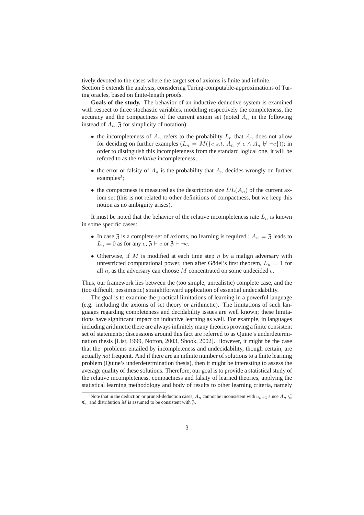tively devoted to the cases where the target set of axioms is finite and infinite. Section 5 extends the analysis, considering Turing-computable-approximations of Turing oracles, based on finite-length proofs.

**Goals of the study.** The behavior of an inductive-deductive system is examined with respect to three stochastic variables, modeling respectively the completeness, the accuracy and the compactness of the current axiom set (noted  $A_n$  in the following instead of  $A_n$ , 3 for simplicity of notation):

- the incompleteness of  $A_n$  refers to the probability  $L_n$  that  $A_n$  does not allow for deciding on further examples ( $L_n = M({e \text{ s.t. } A_n \not\vdash e \land A_n \not\vdash \neg e})$ ); in order to distinguish this incompleteness from the standard logical one, it will be refered to as the *relative* incompleteness;
- the error or falsity of  $A_n$  is the probability that  $A_n$  decides wrongly on further  $examples<sup>3</sup>;$
- the compactness is measured as the description size  $DL(A_n)$  of the current axiom set (this is not related to other definitions of compactness, but we keep this notion as no ambiguity arises).

It must be noted that the behavior of the relative incompleteness rate  $L_n$  is known in some specific cases:

- In case 3 is a complete set of axioms, no learning is required ;  $A_n = 3$  leads to  $L_n = 0$  as for any  $e, 3 \vdash e$  or  $3 \vdash \neg e$ .
- Otherwise, if  $M$  is modified at each time step  $n$  by a malign adversary with unrestricted computational power, then after Gödel's first theorem,  $L_n = 1$  for all  $n$ , as the adversary can choose  $M$  concentrated on some undecided  $e$ .

Thus, our framework lies between the (too simple, unrealistic) complete case, and the (too difficult, pessimistic) straightforward application of essential undecidability.

The goal is to examine the practical limitations of learning in a powerful language (e.g. including the axioms of set theory or arithmetic). The limitations of such languages regarding completeness and decidability issues are well known; these limitations have significant impact on inductive learning as well. For example, in languages including arithmetic there are always infinitely many theories proving a finite consistent set of statements; discussions around this fact are referred to as Quine's underdetermination thesis [List, 1999, Norton, 2003, Shook, 2002]. However, it might be the case that the problems entailed by incompleteness and undecidability, though certain, are actually *not* frequent. And if there are an infinite number of solutions to a finite learning problem (Quine's underdetermination thesis), then it might be interesting to assess the average quality of these solutions. Therefore, our goal is to provide a statistical study of the relative incompleteness, compactness and falsity of learned theories, applying the statistical learning methodology and body of results to other learning criteria, namely

<sup>&</sup>lt;sup>3</sup>Note that in the deduction or pruned-deduction cases,  $A_n$  cannot be inconsistent with  $e_{n+1}$  since  $A_n \subseteq$  $\mathfrak{E}_n$  and distribution M is assumed to be consistent with 3.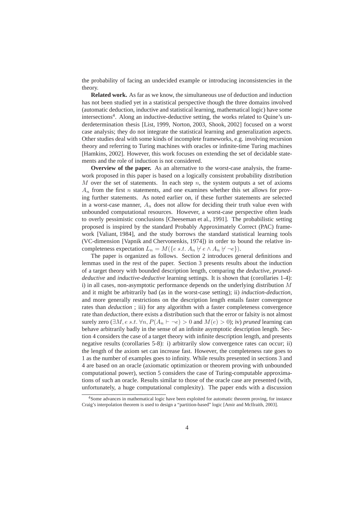the probability of facing an undecided example or introducing inconsistencies in the theory.

**Related work.** As far as we know, the simultaneous use of deduction and induction has not been studied yet in a statistical perspective though the three domains involved (automatic deduction, inductive and statistical learning, mathematical logic) have some intersections<sup>4</sup>. Along an inductive-deductive setting, the works related to Quine's underdetermination thesis [List, 1999, Norton, 2003, Shook, 2002] focused on a worst case analysis; they do not integrate the statistical learning and generalization aspects. Other studies deal with some kinds of incomplete frameworks, e.g. involving recursion theory and referring to Turing machines with oracles or infinite-time Turing machines [Hamkins, 2002]. However, this work focuses on extending the set of decidable statements and the role of induction is not considered.

**Overview of the paper.** As an alternative to the worst-case analysis, the framework proposed in this paper is based on a logically consistent probability distribution M over the set of statements. In each step n, the system outputs a set of axioms  $A_n$  from the first *n* statements, and one examines whether this set allows for proving further statements. As noted earlier on, if these further statements are selected in a worst-case manner,  $A_n$  does not allow for deciding their truth value even with unbounded computational resources. However, a worst-case perspective often leads to overly pessimistic conclusions [Cheeseman et al., 1991]. The probabilistic setting proposed is inspired by the standard Probably Approximately Correct (PAC) framework [Valiant, 1984], and the study borrows the standard statistical learning tools (VC-dimension [Vapnik and Chervonenkis, 1974]) in order to bound the relative incompleteness expectation  $L_n = M({e \ s.t. A_n \nvDash e \land A_n \nvDash \neg e}).$ 

The paper is organized as follows. Section 2 introduces general definitions and lemmas used in the rest of the paper. Section 3 presents results about the induction of a target theory with bounded description length, comparing the *deductive, pruneddeductive* and *inductive-deductive* learning settings. It is shown that (corollaries 1-4): i) in all cases, non-asymptotic performance depends on the underlying distribution  $M$ and it might be arbitrarily bad (as in the worst-case setting); ii) *induction-deduction*, and more generally restrictions on the description length entails faster convergence rates than *deduction* ; iii) for any algorithm with a faster completeness convergence rate than *deduction*, there exists a distribution such that the error or falsity is not almost surely zero ( $\exists M, e \, s.t. \, \forall n, P(A_n \vdash \neg e) > 0$  and  $M(e) > 0$ ); iv) *pruned* learning can behave arbitrarily badly in the sense of an infinite asymptotic description length. Section 4 considers the case of a target theory with infinite description length, and presents negative results (corollaries 5-8): i) arbitrarily slow convergence rates can occur; ii) the length of the axiom set can increase fast. However, the completeness rate goes to 1 as the number of examples goes to infinity. While results presented in sections 3 and 4 are based on an oracle (axiomatic optimization or theorem proving with unbounded computational power), section 5 considers the case of Turing-computable approximations of such an oracle. Results similar to those of the oracle case are presented (with, unfortunately, a huge computational complexity). The paper ends with a discussion

<sup>4</sup>Some advances in mathematical logic have been exploited for automatic theorem proving, for instance Craig's interpolation theorem is used to design a "partition-based" logic [Amir and McIlraith, 2003].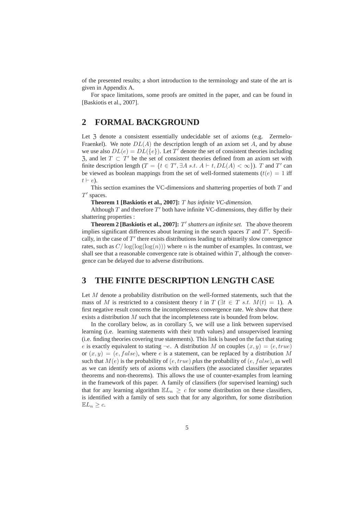of the presented results; a short introduction to the terminology and state of the art is given in Appendix A.

For space limitations, some proofs are omitted in the paper, and can be found in [Baskiotis et al., 2007].

# **2 FORMAL BACKGROUND**

Let  $\lambda$  denote a consistent essentially undecidable set of axioms (e.g. Zermelo-Fraenkel). We note  $DL(A)$  the description length of an axiom set A, and by abuse we use also  $DL(e) = DL({e})$ . Let T' denote the set of consistent theories including  $\overline{z}$ , and let  $T \subset T'$  be the set of consistent theories defined from an axiom set with finite description length  $(T = \{t \in T', \exists A \ s.t. \ A \vdash t, DL(A) < \infty\})$ . T and T' can be viewed as boolean mappings from the set of well-formed statements ( $t(e) = 1$  iff  $t \vdash e$ ).

This section examines the VC-dimensions and shattering properties of both  $T$  and  $T'$  spaces.

**Theorem 1 [Baskiotis et al., 2007]:** T *has infinite VC-dimension.*

Although  $T$  and therefore  $T'$  both have infinite VC-dimensions, they differ by their shattering properties :

**Theorem 2 [Baskiotis et al., 2007]:** T ′ *shatters an infinite set.* The above theorem implies significant differences about learning in the search spaces  $T$  and  $T'$ . Specifically, in the case of  $T'$  there exists distributions leading to arbitrarily slow convergence rates, such as  $C/\log(\log(n))$  where n is the number of examples. In contrast, we shall see that a reasonable convergence rate is obtained within  $T$ , although the convergence can be delayed due to adverse distributions.

### **3 THE FINITE DESCRIPTION LENGTH CASE**

Let  $M$  denote a probability distribution on the well-formed statements, such that the mass of M is restricted to a consistent theory t in  $T$  ( $\exists t \in T$  s.t.  $M(t) = 1$ ). A first negative result concerns the incompleteness convergence rate. We show that there exists a distribution M such that the incompleteness rate is bounded from below.

In the corollary below, as in corollary 5, we will use a link between supervised learning (i.e. learning statements with their truth values) and unsupervised learning (i.e. finding theories covering true statements). This link is based on the fact that stating e is exactly equivalent to stating  $\neg e$ . A distribution M on couples  $(x, y) = (e, true)$ or  $(x, y) = (e, false)$ , where e is a statement, can be replaced by a distribution M such that  $M(e)$  is the probability of  $(e, true)$  *plus* the probability of  $(e, false)$ , as well as we can identify sets of axioms with classifiers (the associated classifier separates theorems and non-theorems). This allows the use of counter-examples from learning in the framework of this paper. A family of classifiers (for supervised learning) such that for any learning algorithm  $\mathbb{E}L_n \geq c$  for some distribution on these classifiers, is identified with a family of sets such that for any algorithm, for some distribution  $\mathbb{E}L_n \geq c$ .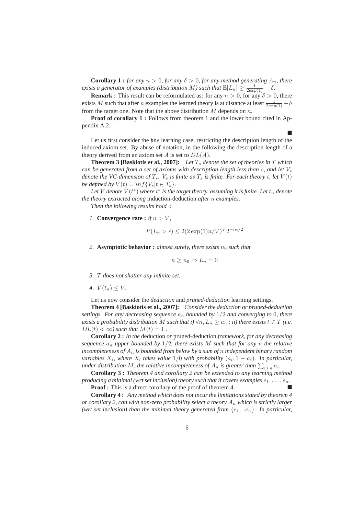**Corollary 1 :** *for any*  $n > 0$ *, for any*  $\delta > 0$ *, for any method generating*  $A_n$ *, there exists a generator of examples (distribution* M) such that  $\mathbb{E}[L_n] \ge \frac{1}{2\exp(1)} - \delta$ .

**Remark :** This result can be reformulated as: for any  $n > 0$ , for any  $\delta > 0$ , there exists M such that after n examples the learned theory is at distance at least  $\frac{1}{2exp(1)} - \delta$ from the target one. Note that the above distribution  $M$  depends on  $n$ .

**Proof of corollary 1 :** Follows from theorem 1 and the lower bound cited in Appendix A.2.

Ē

Let us first consider the *fine* learning case, restricting the description length of the induced axiom set. By abuse of notation, in the following the description length of a theory derived from an axiom set A is set to  $DL(A)$ .

**Theorem 3 [Baskiotis et al., 2007]:** Let  $T_s$  denote the set of theories in T which *can be generated from a set of axioms with description length less than s, and let*  $V_s$ *denote the VC-dimension of*  $T_s$ *.*  $V_s$  *is finite as*  $T_s$  *is finite. For each theory t, let*  $V(t)$ *be defined by*  $V(t) = inf\{V_s | t \in T_s\}.$ 

Let  $V$  denote  $V(t^*)$  where  $t^*$  is the target theory, assuming it is finite. Let  $t_n$  denote *the theory extracted along* induction-deduction *after* n *examples.*

*Then the following results hold :*

*1.* **Convergence rate :** *if*  $n > V$ ,

$$
P(L_n > \epsilon) \le 2(2 \exp(1)n/V)^{V} 2^{-n\epsilon/2}
$$

2. **Asymptotic behavior :** *almost surely, there exists*  $n_0$  *such that* 

$$
n \ge n_0 \Rightarrow L_n = 0
$$

- *3.* T *does not shatter any infinite set.*
- *4.*  $V(t_n) \leq V$ .

Let us now consider the *deduction* and *pruned-deduction* learning settings.

**Theorem 4 [Baskiotis et al., 2007]:** *Consider the deduction or pruned-deduction settings. For any decreasing sequence*  $a_n$  *bounded by*  $1/2$  *and converging to* 0*, there exists a probability distribution* M *such that i*)  $\forall n, L_n \ge a_n$ ; *ii*) *there exists*  $t \in T$  *(i.e.*  $DL(t) < \infty$ ) such that  $M(t) = 1$ .

**Corollary 2 :** *In the* deduction *or* pruned-deduction *framework, for any decreasing sequence*  $a_n$  *upper bounded by*  $1/2$ *, there exists* M *such that for any n the relative incompleteness of* A<sup>n</sup> *is bounded from below by a sum of* n *independent binary random variables*  $X_i$ , where  $X_i$  takes value 1/0 with probability  $(a_i, 1 - a_i)$ . In particular, under distribution M, the relative incompleteness of  $A_n$  is greater than  $\sum_{i\leq n}a_i$ .

**Corollary 3 :** *Theorem 4 and corollary 2 can be extended to any learning method producing a minimal (wrt set inclusion) theory such that it covers examples*  $e_1, \ldots, e_n$ .

**Proof :** This is a direct corollary of the proof of theorem 4.

**Corollary 4 :** *Any method which does not incur the limitations stated by theorem 4 or corollary 2, can with non-zero probability select a theory*  $A_n$  *which is strictly larger (wrt set inclusion) than the minimal theory generated from*  $\{e_1, ...e_n\}$ *. In particular,*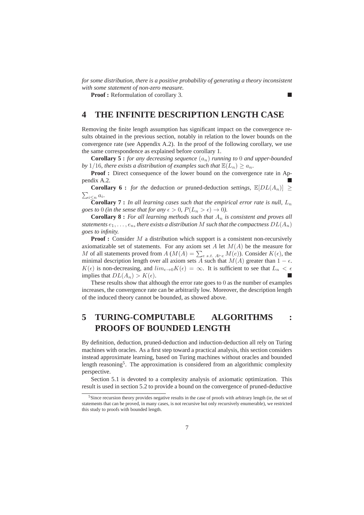*for some distribution, there is a positive probability of generating a theory inconsistent with some statement of non-zero measure.*

**Proof :** Reformulation of corollary 3.

# **4 THE INFINITE DESCRIPTION LENGTH CASE**

Removing the finite length assumption has significant impact on the convergence results obtained in the previous section, notably in relation to the lower bounds on the convergence rate (see Appendix A.2). In the proof of the following corollary, we use the same correspondence as explained before corollary 1.

**Corollary 5 :** *for any decreasing sequence*  $(a_n)$  *running to* 0 *and upper-bounded by* 1/16*, there exists a distribution of examples such that*  $\mathbb{E}(L_n) \ge a_n$ *.* 

**Proof :** Direct consequence of the lower bound on the convergence rate in Appendix A.2.

 $\sum_{i\leq n}a_i$ . **Corollary 6 :** *for the* deduction *or* pruned-deduction *settings*,  $\mathbb{E}[DL(A_n)] \geq$ 

**Corollary 7 :** In all learning cases such that the empirical error rate is null,  $L_n$ *goes to* 0 *(in the sense that for any*  $\epsilon > 0$ ,  $P(L_n > \epsilon) \rightarrow 0$ *).* 

**Corollary 8 :** *For all learning methods such that*  $A_n$  *is consistent and proves all statements*  $e_1, \ldots, e_n$ , there exists a distribution M such that the compactness  $DL(A_n)$ *goes to infinity.*

**Proof :** Consider M a distribution which support is a consistent non-recursively axiomatizable set of statements. For any axiom set A let  $M(A)$  be the measure for M of all statements proved from  $A(M(A) = \sum_{e \, s.t. \, A \vdash e} M(e))$ . Consider  $K(\epsilon)$ , the minimal description length over all axiom sets A such that  $M(A)$  greater than  $1 - \epsilon$ .  $K(\epsilon)$  is non-decreasing, and  $\lim_{\epsilon \to 0} K(\epsilon) = \infty$ . It is sufficient to see that  $L_n < \epsilon$ implies that  $DL(A_n) > K(\epsilon)$ .

These results show that although the error rate goes to 0 as the number of examples increases, the convergence rate can be arbitrarily low. Moreover, the description length of the induced theory cannot be bounded, as showed above.

# **5 TURING-COMPUTABLE ALGORITHMS : PROOFS OF BOUNDED LENGTH**

By definition, deduction, pruned-deduction and induction-deduction all rely on Turing machines with oracles. As a first step toward a practical analysis, this section considers instead approximate learning, based on Turing machines without oracles and bounded length reasoning<sup>5</sup>. The approximation is considered from an algorithmic complexity perspective.

Section 5.1 is devoted to a complexity analysis of axiomatic optimization. This result is used in section 5.2 to provide a bound on the convergence of pruned-deductive

<sup>5</sup>Since recursion theory provides negative results in the case of proofs with arbitrary length (ie, the set of statements that can be proved, in many cases, is not recursive but only recursively enumerable), we restricted this study to proofs with bounded length.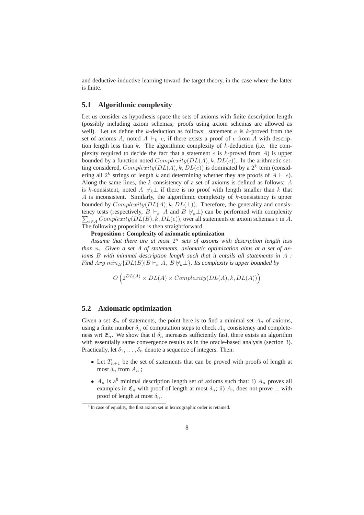and deductive-inductive learning toward the target theory, in the case where the latter is finite.

### **5.1 Algorithmic complexity**

Let us consider as hypothesis space the sets of axioms with finite description length (possibly including axiom schemas; proofs using axiom schemas are allowed as well). Let us define the k-deduction as follows: statement  $e$  is k-proved from the set of axioms A, noted  $A \vdash_k e$ , if there exists a proof of e from A with description length less than  $k$ . The algorithmic complexity of  $k$ -deduction (i.e. the complexity required to decide the fact that a statement  $e$  is  $k$ -proved from  $A$ ) is upper bounded by a function noted  $Complexity(DL(A), k, DL(e))$ . In the arithmetic setting considered,  $Complexity(DL(A), k, DL(e))$  is dominated by a  $2<sup>k</sup>$  term (considering all  $2^k$  strings of length k and determining whether they are proofs of  $A \vdash e$ . Along the same lines, the k-consistency of a set of axioms is defined as follows: A is k-consistent, noted A  $\forall_k \perp$  if there is no proof with length smaller than k that A is inconsistent. Similarly, the algorithmic complexity of  $k$ -consistency is upper bounded by  $Complexity(DL(A), k, DL(\perp))$ . Therefore, the generality and consis- $\sum_{e \in A} Complexity(DL(B), k, DL(e)),$  over all statements or axiom schemas e in A. tency tests (respectively,  $B \vdash_k A$  and  $B \not\vdash_k \bot$ ) can be performed with complexity The following proposition is then straightforward.

#### **Proposition : Complexity of axiomatic optimization**

*Assume that there are at most* 2 <sup>n</sup> *sets of axioms with description length less than* n*. Given a set* A *of statements, axiomatic optimization aims at a set of axioms* B *with minimal description length such that it entails all statements in* A *: Find* Arg  $min_B\{DL(B)|B\vdash_k A, B\nvdash_k\bot\}$ *. Its complexity is upper bounded by* 

$$
O\left(2^{DL(A)} \times DL(A) \times Complexity(DL(A), k, DL(A))\right)
$$

### **5.2 Axiomatic optimization**

Given a set  $\mathfrak{E}_n$  of statements, the point here is to find a minimal set  $A_n$  of axioms, using a finite number  $\delta_n$  of computation steps to check  $A_n$  consistency and completeness wrt  $\mathfrak{E}_n$ . We show that if  $\delta_n$  increases sufficiently fast, there exists an algorithm with essentially same convergence results as in the oracle-based analysis (section 3). Practically, let  $\delta_1, \ldots, \delta_n$  denote a sequence of integers. Then:

- Let  $T_{n+1}$  be the set of statements that can be proved with proofs of length at most  $\delta_n$  from  $A_n$ ;
- $A_n$  is a<sup>6</sup> minimal description length set of axioms such that: i)  $A_n$  proves all examples in  $\mathfrak{E}_n$  with proof of length at most  $\delta_n$ ; ii)  $A_n$  does not prove  $\perp$  with proof of length at most  $\delta_n$ .

<sup>&</sup>lt;sup>6</sup>In case of equality, the first axiom set in lexicographic order is retained.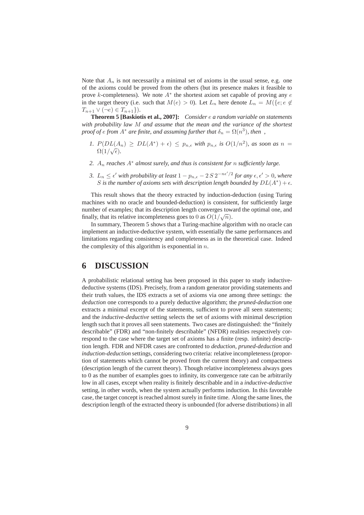Note that  $A_n$  is not necessarily a minimal set of axioms in the usual sense, e.g. one of the axioms could be proved from the others (but its presence makes it feasible to prove k-completeness). We note  $A^*$  the shortest axiom set capable of proving any  $e$ in the target theory (i.e. such that  $M(e) > 0$ ). Let  $L_n$  here denote  $L_n = M(\lbrace e : e \notin \mathcal{L} \rbrace)$  $T_{n+1} \vee (\neg e) \in T_{n+1}$ .

**Theorem 5 [Baskiotis et al., 2007]:** *Consider* e *a random variable on statements with probability law* M *and assume that the mean and the variance of the shortest proof of*  $e$  *from A<sup>\*</sup> are finite, and assuming further that*  $\delta_n = \Omega(n^3)$ , then,

- *1.*  $P(DL(A_n) \geq DL(A^*) + \epsilon) \leq p_{n,\epsilon}$  with  $p_{n,\epsilon}$  is  $O(1/n^2)$ , as soon as  $n =$  $\Omega(1/\sqrt{\epsilon}).$
- *2.* A<sup>n</sup> *reaches* A<sup>∗</sup> *almost surely, and thus is consistent for* n *sufficiently large.*
- 3.  $L_n \leq \epsilon'$  with probability at least  $1 p_{n,\epsilon} 2S 2^{-n\epsilon'/2}$  for any  $\epsilon, \epsilon' > 0$ , where S is the number of axioms sets with description length bounded by  $DL(A^*) + \epsilon$ *.*

This result shows that the theory extracted by induction-deduction (using Turing machines with no oracle and bounded-deduction) is consistent, for sufficiently large number of examples; that its description length converges toward the optimal one, and finally, that its relative incompleteness goes to 0 as  $O(1/\sqrt{n})$ .

In summary, Theorem 5 shows that a Turing-machine algorithm with no oracle can implement an inductive-deductive system, with essentially the same performances and limitations regarding consistency and completeness as in the theoretical case. Indeed the complexity of this algorithm is exponential in  $n$ .

## **6 DISCUSSION**

A probabilistic relational setting has been proposed in this paper to study inductivedeductive systems (IDS). Precisely, from a random generator providing statements and their truth values, the IDS extracts a set of axioms via one among three settings: the *deduction* one corresponds to a purely deductive algorithm; the *pruned-deduction* one extracts a minimal excerpt of the statements, sufficient to prove all seen statements; and the *inductive-deductive* setting selects the set of axioms with minimal description length such that it proves all seen statements. Two cases are distinguished: the "finitely describable" (FDR) and "non-finitely describable" (NFDR) realities respectively correspond to the case where the target set of axioms has a finite (resp. infinite) description length. FDR and NFDR cases are confronted to *deduction*, *pruned-deduction* and *induction-deduction* settings, considering two criteria: relative incompleteness (proportion of statements which cannot be proved from the current theory) and compactness (description length of the current theory). Though relative incompleteness always goes to 0 as the number of examples goes to infinity, its convergence rate can be arbitrarily low in all cases, except when reality is finitely describable and in a *inductive-deductive* setting, in other words, when the system actually performs induction. In this favorable case, the target concept is reached almost surely in finite time. Along the same lines, the description length of the extracted theory is unbounded (for adverse distributions) in all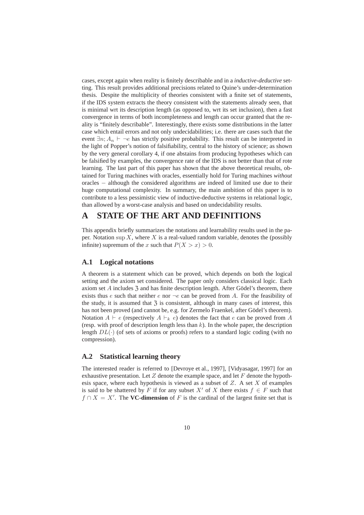cases, except again when reality is finitely describable and in a *inductive-deductive* setting. This result provides additional precisions related to Quine's under-determination thesis. Despite the multiplicity of theories consistent with a finite set of statements, if the IDS system extracts the theory consistent with the statements already seen, that is minimal wrt its description length (as opposed to, wrt its set inclusion), then a fast convergence in terms of both incompleteness and length can occur granted that the reality is "finitely describable". Interestingly, there exists some distributions in the latter case which entail errors and not only undecidabilities; i.e. there are cases such that the event  $\exists n; A_n \vdash \neg e$  has strictly positive probability. This result can be interpreted in the light of Popper's notion of falsifiability, central to the history of science; as shown by the very general corollary 4, if one abstains from producing hypotheses which can be falsified by examples, the convergence rate of the IDS is not better than that of rote learning. The last part of this paper has shown that the above theoretical results, obtained for Turing machines with oracles, essentially hold for Turing machines *without* oracles − although the considered algorithms are indeed of limited use due to their huge computational complexity. In summary, the main ambition of this paper is to contribute to a less pessimistic view of inductive-deductive systems in relational logic, than allowed by a worst-case analysis and based on undecidability results.

## **A STATE OF THE ART AND DEFINITIONS**

This appendix briefly summarizes the notations and learnability results used in the paper. Notation sup  $X$ , where  $X$  is a real-valued random variable, denotes the (possibly infinite) supremum of the x such that  $P(X > x) > 0$ .

### **A.1 Logical notations**

A theorem is a statement which can be proved, which depends on both the logical setting and the axiom set considered. The paper only considers classical logic. Each axiom set  $A$  includes  $\overline{3}$  and has finite description length. After Gödel's theorem, there exists thus e such that neither e nor  $\neg e$  can be proved from A. For the feasibility of the study, it is assumed that  $\overline{3}$  is consistent, although in many cases of interest, this has not been proved (and cannot be, e.g. for Zermelo Fraenkel, after Gödel's theorem). Notation  $A \vdash e$  (respectively  $A \vdash_k e$ ) denotes the fact that e can be proved from A (resp. with proof of description length less than  $k$ ). In the whole paper, the description length  $DL(\cdot)$  (of sets of axioms or proofs) refers to a standard logic coding (with no compression).

### **A.2 Statistical learning theory**

The interested reader is referred to [Devroye et al., 1997], [Vidyasagar, 1997] for an exhaustive presentation. Let  $Z$  denote the example space, and let  $F$  denote the hypothesis space, where each hypothesis is viewed as a subset of  $Z$ . A set  $X$  of examples is said to be shattered by F if for any subset X' of X there exists  $f \in F$  such that  $f \cap X = X'$ . The **VC-dimension** of F is the cardinal of the largest finite set that is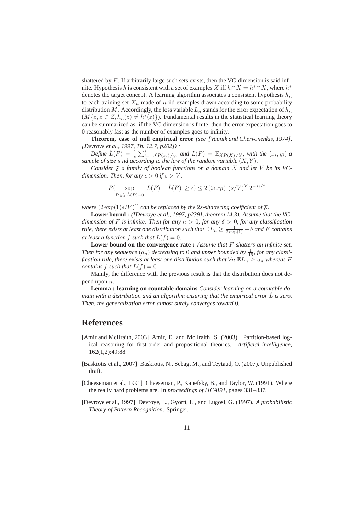shattered by  $F$ . If arbitrarily large such sets exists, then the VC-dimension is said infinite. Hypothesis h is consistent with a set of examples X iff  $h \cap X = h^* \cap X$ , where  $h^*$ denotes the target concept. A learning algorithm associates a consistent hypothesis  $h_n$ to each training set  $X_n$  made of n iid examples drawn according to some probability distribution M. Accordingly, the loss variable  $L_n$  stands for the error expectation of  $h_n$  $(M{z, z \in Z, h_n(z) \neq h^*(z)}).$  Fundamental results in the statistical learning theory can be summarized as: if the VC-dimension is finite, then the error expectation goes to 0 reasonably fast as the number of examples goes to infinity.

**Theorem, case of null empirical error** *(see [Vapnik and Chervonenkis, 1974], [Devroye et al., 1997, Th. 12.7, p202]) :*

*Define*  $\hat{L}(P) = \frac{1}{s} \sum_{i=1}^{s} \chi_{P(x_i) \neq y_i}$  and  $L(P) = \mathbb{E} \chi_{P(X) \neq Y}$ , with the  $(x_i, y_i)$  a *sample of size* s *iid according to the law of the random variable* (X, Y )*.*

*Consider*  $\mathfrak F$  *a family of boolean functions on a domain* X *and let* V *be its* VC*dimension. Then, for any*  $\epsilon > 0$  *if*  $s > V$ *,* 

$$
P(\sup_{P \in \mathfrak{F}; \hat{L}(P)=0} |L(P) - \hat{L}(P)| \ge \epsilon) \le 2 (2exp(1)s/V)^V 2^{-s\epsilon/2}
$$

where  $(2 \exp(1)s/V)^V$  can be replaced by the  $2s$ -shattering coefficient of  $\mathfrak{F}$ .

**Lower bound :** *([Devroye et al., 1997, p239], theorem 14.3). Assume that the VCdimension of* F *is infinite. Then for any*  $n > 0$ *, for any*  $\delta > 0$ *, for any classification rule, there exists at least one distribution such that*  $\mathbb{E}L_n \geq \frac{1}{2\exp(1)} - \delta$  *and* F *contains at least a function*  $f$  *such that*  $L(f) = 0$ *.* 

**Lower bound on the convergence rate :** *Assume that* F *shatters an infinite set.* Then for any sequence  $(a_n)$  decreasing to 0 and upper bounded by  $\frac{1}{16}$ , for any classi*fication rule, there exists at least one distribution such that*  $\forall n \mathbb{E} L_n \ge a_n$  *whereas* F *contains* f *such that*  $L(f) = 0$ *.* 

Mainly, the difference with the previous result is that the distribution does not depend upon n.

**Lemma : learning on countable domains** *Consider learning on a countable domain with a distribution and an algorithm ensuring that the empirical error* L *is zero. Then, the generalization error almost surely converges toward* 0*.*

## **References**

- [Amir and McIlraith, 2003] Amir, E. and McIlraith, S. (2003). Partition-based logical reasoning for first-order and propositional theories. *Artificial intelligence*, 162(1,2):49:88.
- [Baskiotis et al., 2007] Baskiotis, N., Sebag, M., and Teytaud, O. (2007). Unpublished draft.
- [Cheeseman et al., 1991] Cheeseman, P., Kanefsky, B., and Taylor, W. (1991). Where the really hard problems are. In *proceedings of IJCAI91*, pages 331–337.
- [Devroye et al., 1997] Devroye, L., Györfi, L., and Lugosi, G. (1997). A probabilistic *Theory of Pattern Recognition*. Springer.